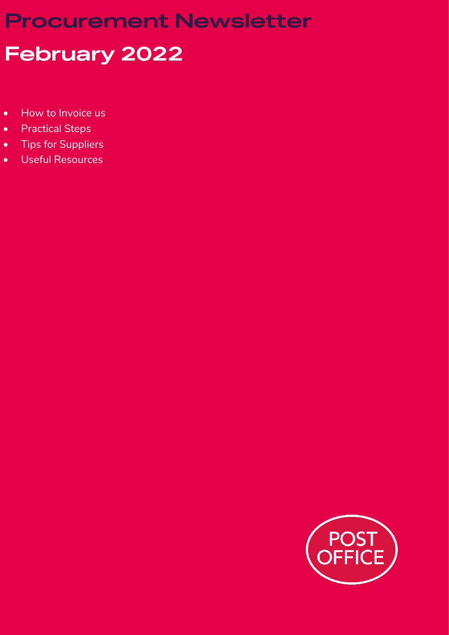# **Procurement Newsletter**

# **February 2022**

- How to Invoice us
- Practical Steps
- Tips for Suppliers
- Useful Resources

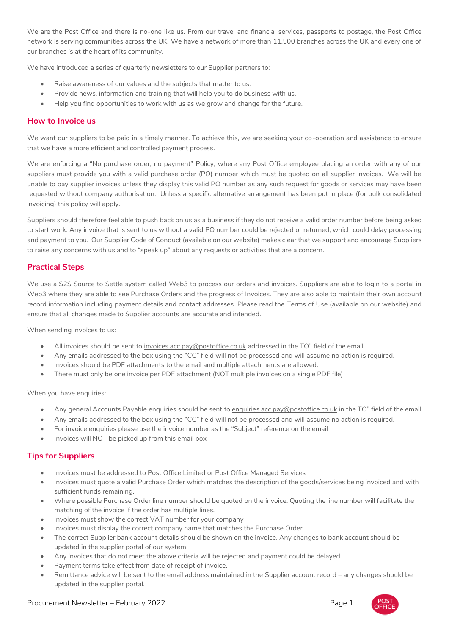We are the Post Office and there is no-one like us. From our travel and financial services, passports to postage, the Post Office network is serving communities across the UK. We have a network of more than 11,500 branches across the UK and every one of our branches is at the heart of its community.

We have introduced a series of quarterly newsletters to our Supplier partners to:

- Raise awareness of our values and the subjects that matter to us.
- Provide news, information and training that will help you to do business with us.
- Help you find opportunities to work with us as we grow and change for the future.

#### **How to Invoice us**

We want our suppliers to be paid in a timely manner. To achieve this, we are seeking your co-operation and assistance to ensure that we have a more efficient and controlled payment process.

We are enforcing a "No purchase order, no payment" Policy, where any Post Office employee placing an order with any of our suppliers must provide you with a valid purchase order (PO) number which must be quoted on all supplier invoices. We will be unable to pay supplier invoices unless they display this valid PO number as any such request for goods or services may have been requested without company authorisation. Unless a specific alternative arrangement has been put in place (for bulk consolidated invoicing) this policy will apply.

Suppliers should therefore feel able to push back on us as a business if they do not receive a valid order number before being asked to start work. Any invoice that is sent to us without a valid PO number could be rejected or returned, which could delay processing and payment to you. Our Supplier Code of Conduct (available on our website) makes clear that we support and encourage Suppliers to raise any concerns with us and to "speak up" about any requests or activities that are a concern.

# **Practical Steps**

We use a S2S Source to Settle system called Web3 to process our orders and invoices. Suppliers are able to login to a portal in Web3 where they are able to see Purchase Orders and the progress of Invoices. They are also able to maintain their own account record information including payment details and contact addresses. Please read the Terms of Use (available on our website) and ensure that all changes made to Supplier accounts are accurate and intended.

When sending invoices to us:

- All invoices should be sent to [invoices.acc.pay@postoffice.co.uk](mailto:invoices.acc.pay@postoffice.co.uk) addressed in the TO" field of the email
- Any emails addressed to the box using the "CC" field will not be processed and will assume no action is required.
- Invoices should be PDF attachments to the email and multiple attachments are allowed.
- There must only be one invoice per PDF attachment (NOT multiple invoices on a single PDF file)

When you have enquiries:

- Any general Accounts Payable enquiries should be sent to [enquiries.acc.pay@postoffice.co.uk](mailto:enquiries.acc.pay@postoffice.co.uk) in the TO" field of the email
- Any emails addressed to the box using the "CC" field will not be processed and will assume no action is required.
- For invoice enquiries please use the invoice number as the "Subject" reference on the email
- Invoices will NOT be picked up from this email box

## **Tips for Suppliers**

- Invoices must be addressed to Post Office Limited or Post Office Managed Services
- Invoices must quote a valid Purchase Order which matches the description of the goods/services being invoiced and with sufficient funds remaining.
- Where possible Purchase Order line number should be quoted on the invoice. Quoting the line number will facilitate the matching of the invoice if the order has multiple lines.
- Invoices must show the correct VAT number for your company
- Invoices must display the correct company name that matches the Purchase Order.
- The correct Supplier bank account details should be shown on the invoice. Any changes to bank account should be updated in the supplier portal of our system.
- Any invoices that do not meet the above criteria will be rejected and payment could be delayed.
- Payment terms take effect from date of receipt of invoice.
- Remittance advice will be sent to the email address maintained in the Supplier account record any changes should be updated in the supplier portal.